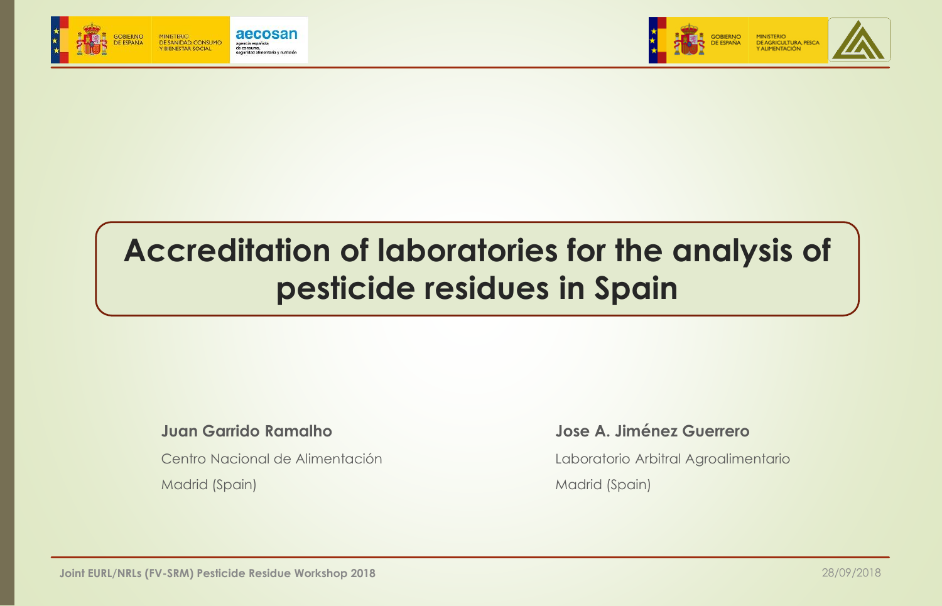



# **Accreditation of laboratories for the analysis of pesticide residues in Spain**

#### **Juan Garrido Ramalho**

Centro Nacional de Alimentación Madrid (Spain)

#### **Jose A. Jiménez Guerrero**

Laboratorio Arbitral Agroalimentario Madrid (Spain)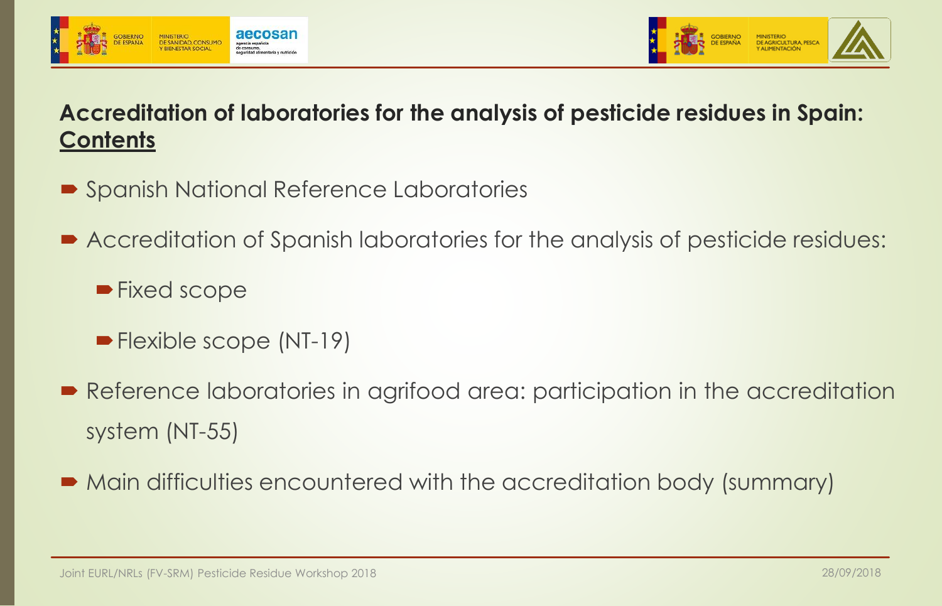



## **Accreditation of laboratories for the analysis of pesticide residues in Spain: Contents**

- Spanish National Reference Laboratories
- Accreditation of Spanish laboratories for the analysis of pesticide residues:
	- **Fixed scope**
	- **Flexible scope (NT-19)**
- Reference laboratories in agrifood area: participation in the accreditation system (NT-55)
- Main difficulties encountered with the accreditation body (summary)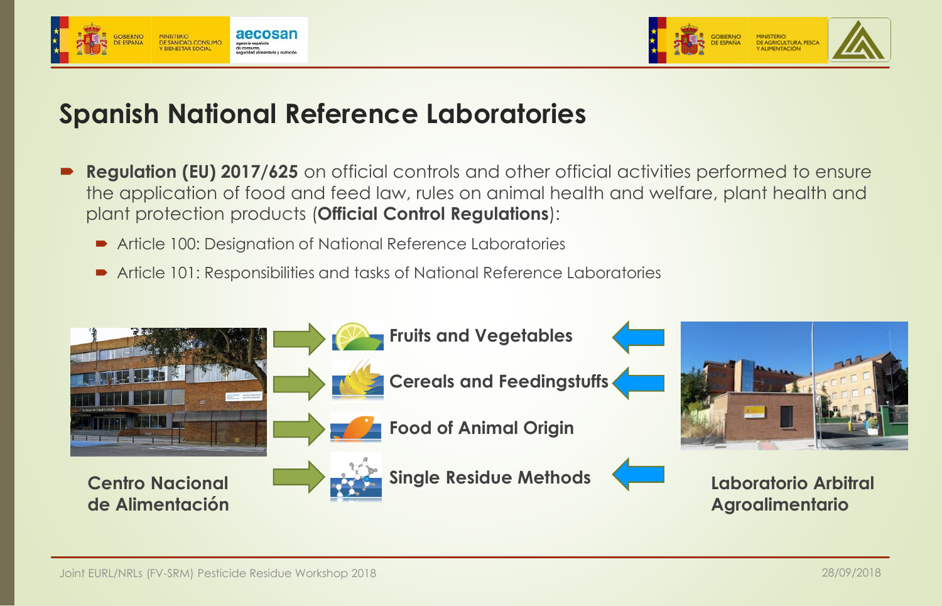



# **Spanish National Reference Laboratories**

- **Regulation (EU) 2017/625** on official controls and other official activities performed to ensure the application of food and feed law, rules on animal health and welfare, plant health and plant protection products (**Official Control Regulations**):
	- Article 100: Designation of National Reference Laboratories
	- Article 101: Responsibilities and tasks of National Reference Laboratories

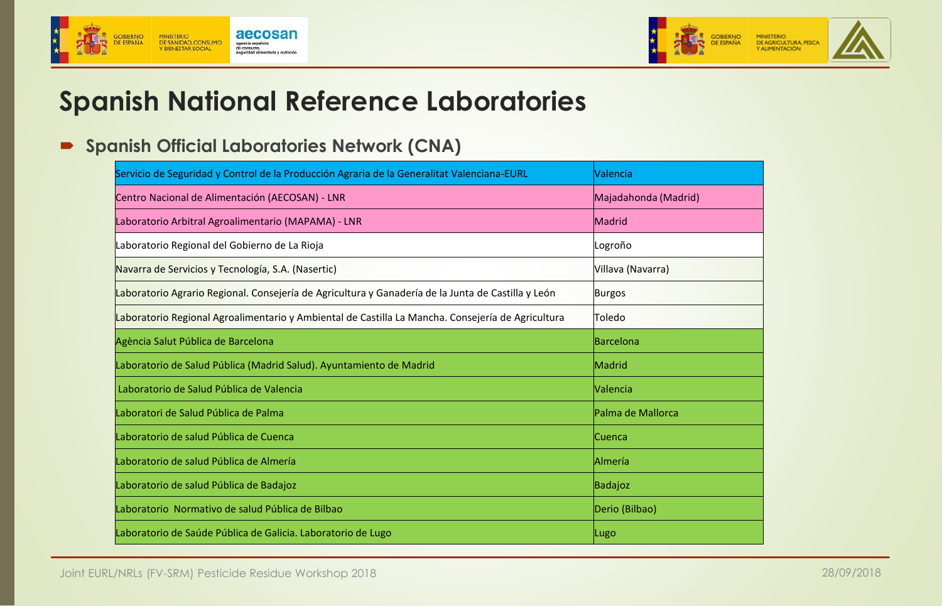



# **Spanish National Reference Laboratories**

#### **Spanish Official Laboratories Network (CNA)**

| Servicio de Seguridad y Control de la Producción Agraria de la Generalitat Valenciana-EURL         | Valencia             |
|----------------------------------------------------------------------------------------------------|----------------------|
| Centro Nacional de Alimentación (AECOSAN) - LNR                                                    | Majadahonda (Madrid) |
| Laboratorio Arbitral Agroalimentario (MAPAMA) - LNR                                                | Madrid               |
| Laboratorio Regional del Gobierno de La Rioja                                                      | Logroño              |
| Navarra de Servicios y Tecnología, S.A. (Nasertic)                                                 | Villava (Navarra)    |
| Laboratorio Agrario Regional. Consejería de Agricultura y Ganadería de la Junta de Castilla y León | Burgos               |
| Laboratorio Regional Agroalimentario y Ambiental de Castilla La Mancha. Consejería de Agricultura  | Toledo               |
| Agència Salut Pública de Barcelona                                                                 | <b>Barcelona</b>     |
| Laboratorio de Salud Pública (Madrid Salud). Ayuntamiento de Madrid                                | <b>Madrid</b>        |
| Laboratorio de Salud Pública de Valencia                                                           | Valencia             |
| Laboratori de Salud Pública de Palma                                                               | Palma de Mallorca    |
| Laboratorio de salud Pública de Cuenca                                                             | <b>Cuenca</b>        |
| Laboratorio de salud Pública de Almería                                                            | <b>Almería</b>       |
| Laboratorio de salud Pública de Badajoz                                                            | Badajoz              |
| Laboratorio Normativo de salud Pública de Bilbao                                                   | Derio (Bilbao)       |
| Laboratorio de Saúde Pública de Galicia. Laboratorio de Lugo                                       | Lugo                 |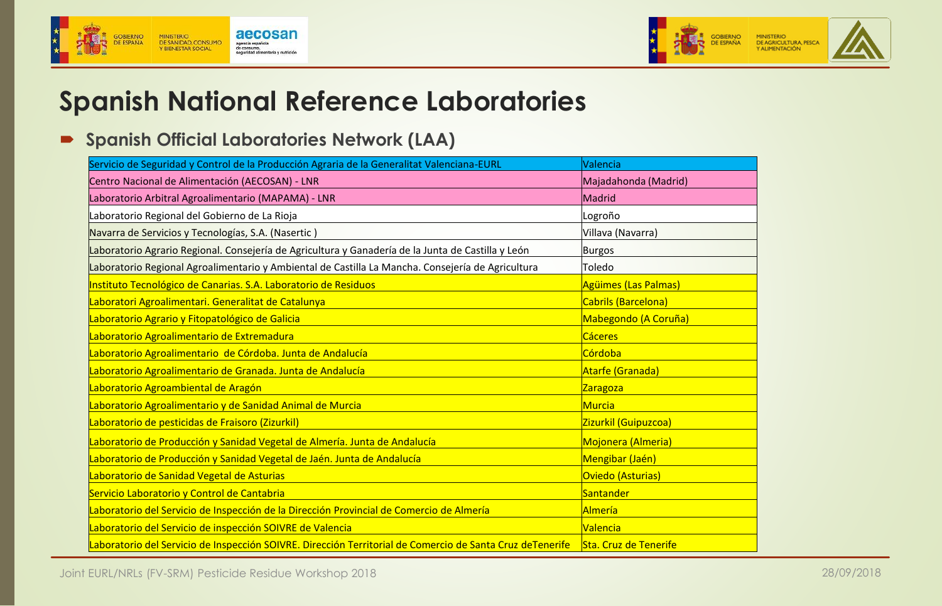



# **Spanish National Reference Laboratories**

#### **Spanish Official Laboratories Network (LAA)**

| Servicio de Seguridad y Control de la Producción Agraria de la Generalitat Valenciana-EURL                | Valencia                     |
|-----------------------------------------------------------------------------------------------------------|------------------------------|
| Centro Nacional de Alimentación (AECOSAN) - LNR                                                           | Majadahonda (Madrid)         |
| Laboratorio Arbitral Agroalimentario (MAPAMA) - LNR                                                       | Madrid                       |
| Laboratorio Regional del Gobierno de La Rioja                                                             | Logroño                      |
| Navarra de Servicios y Tecnologías, S.A. (Nasertic)                                                       | Villava (Navarra)            |
| Laboratorio Agrario Regional. Consejería de Agricultura y Ganadería de la Junta de Castilla y León        | <b>Burgos</b>                |
| Laboratorio Regional Agroalimentario y Ambiental de Castilla La Mancha. Consejería de Agricultura         | Toledo                       |
| Instituto Tecnológico de Canarias. S.A. Laboratorio de Residuos                                           | Agüimes (Las Palmas)         |
| Laboratori Agroalimentari. Generalitat de Catalunya                                                       | Cabrils (Barcelona)          |
| Laboratorio Agrario y Fitopatológico de Galicia                                                           | Mabegondo (A Coruña)         |
| Laboratorio Agroalimentario de Extremadura                                                                | <b>Cáceres</b>               |
| Laboratorio Agroalimentario de Córdoba. Junta de Andalucía                                                | Córdoba                      |
| Laboratorio Agroalimentario de Granada. Junta de Andalucía                                                | Atarfe (Granada)             |
| Laboratorio Agroambiental de Aragón                                                                       | Zaragoza                     |
| Laboratorio Agroalimentario y de Sanidad Animal de Murcia                                                 | Murcia                       |
| Laboratorio de pesticidas de Fraisoro (Zizurkil)                                                          | Zizurkil (Guipuzcoa)         |
| Laboratorio de Producción y Sanidad Vegetal de Almería. Junta de Andalucía                                | Mojonera (Almeria)           |
| Laboratorio de Producción y Sanidad Vegetal de Jaén. Junta de Andalucía                                   | Mengibar (Jaén)              |
| Laboratorio de Sanidad Vegetal de Asturias                                                                | Oviedo (Asturias)            |
| Servicio Laboratorio y Control de Cantabria                                                               | Santander                    |
| Laboratorio del Servicio de Inspección de la Dirección Provincial de Comercio de Almería                  | Almería                      |
| Laboratorio del Servicio de inspección SOIVRE de Valencia                                                 | <b>Valencia</b>              |
| Laboratorio del Servicio de Inspección SOIVRE. Dirección Territorial de Comercio de Santa Cruz deTenerife | <b>Sta. Cruz de Tenerife</b> |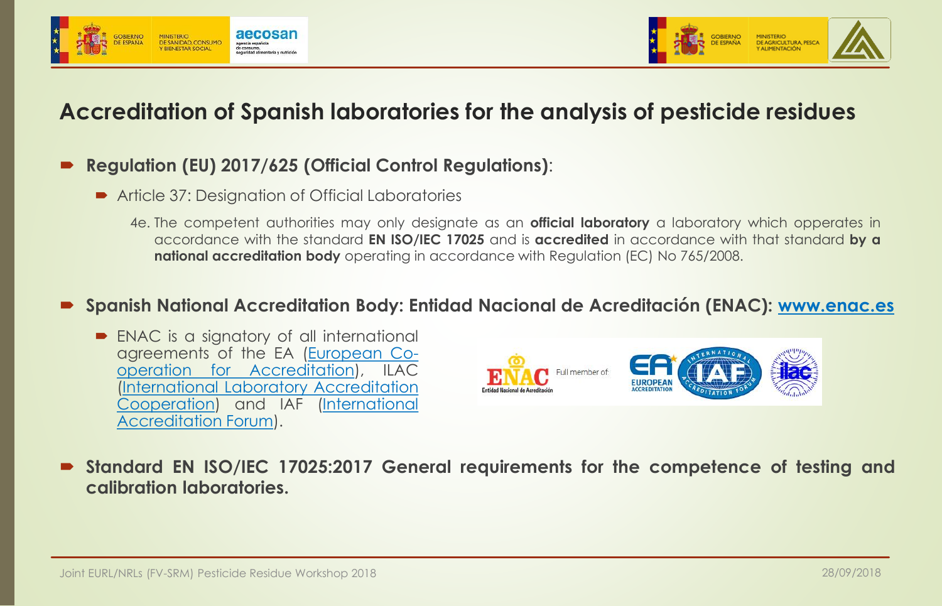



### **Accreditation of Spanish laboratories for the analysis of pesticide residues**

#### **Regulation (EU) 2017/625 (Official Control Regulations)**:

- Article 37: Designation of Official Laboratories
	- 4e. The competent authorities may only designate as an **official laboratory** a laboratory which opperates in accordance with the standard **EN ISO/IEC 17025** and is **accredited** in accordance with that standard **by a national accreditation body** operating in accordance with Regulation (EC) No 765/2008.

#### **Spanish National Accreditation Body: Entidad Nacional de Acreditación (ENAC): [www.enac.es](http://www.enac.es/)**

■ ENAC is a signatory of all international agreements of the EA (European Cooperation for [Accreditation\),](http://www.european-accreditation.org/) ILAC (International Laboratory Accreditation [Cooperation\)](http://ilac.org/) and IAF (International [Accreditation](http://www.iaf.nu/) Forum).



 **Standard EN ISO/IEC 17025:2017 General requirements for the competence of testing and calibration laboratories.**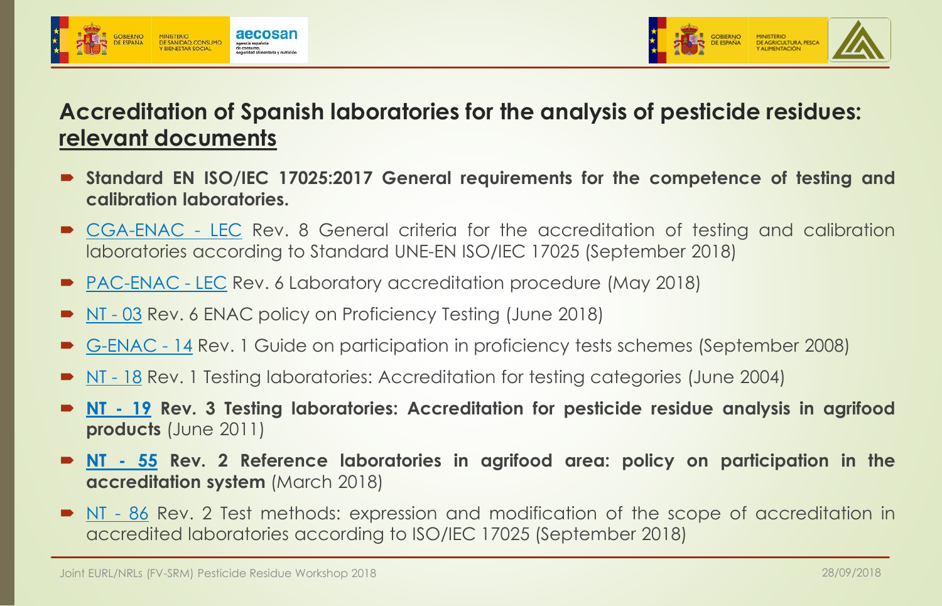



### **Accreditation of Spanish laboratories for the analysis of pesticide residues: relevant documents**

- **Standard EN ISO/IEC 17025:2017 General requirements for the competence of testing and calibration laboratories.**
- [CGA-ENAC](https://www.enac.es/documents/7020/b7e24234-daba-4a62-9652-76eb7e96db30) LEC Rev. 8 General criteria for the accreditation of testing and calibration laboratories according to Standard UNE-EN ISO/IEC 17025 (September 2018)
- [PAC-ENAC](https://www.enac.es/documents/7020/5054bb49-cf0d-4346-b191-61ffcf8521ec) LEC Rev. 6 Laboratory accreditation procedure (May 2018)
- [NT](https://www.enac.es/documents/7020/d3b14f16-55ed-424f-b12c-674764c1d8e8) 03 Rev. 6 ENAC policy on Proficiency Testing (June 2018)
- [G-ENAC](https://www.enac.es/documents/7020/55d344fa-35e1-4320-9cba-307e0f3704a1) 14 Rev. 1 Guide on participation in proficiency tests schemes (September 2008)
- [NT](https://www.enac.es/documents/7020/9eb9c88c-df77-4f55-bfef-f1cc44161d46) 18 Rev. 1 Testing laboratories: Accreditation for testing categories (June 2004)
- **[NT](https://www.enac.es/documents/7020/eed330e7-bfef-47c0-b624-817c4589d1db) - 19 Rev. 3 Testing laboratories: Accreditation for pesticide residue analysis in agrifood products** (June 2011)
- **[NT](https://www.enac.es/documents/7020/bcbc1b33-2fa0-47d0-b489-3f3e8329a04f) - 55 Rev. 2 Reference laboratories in agrifood area: policy on participation in the accreditation system** (March 2018)
- $\blacksquare$  [NT](https://www.enac.es/documents/7020/b14da0db-229e-45b2-bc09-5091a7ff149e) 86 Rev. 2 Test methods: expression and modification of the scope of accreditation in accredited laboratories according to ISO/IEC 17025 (September 2018)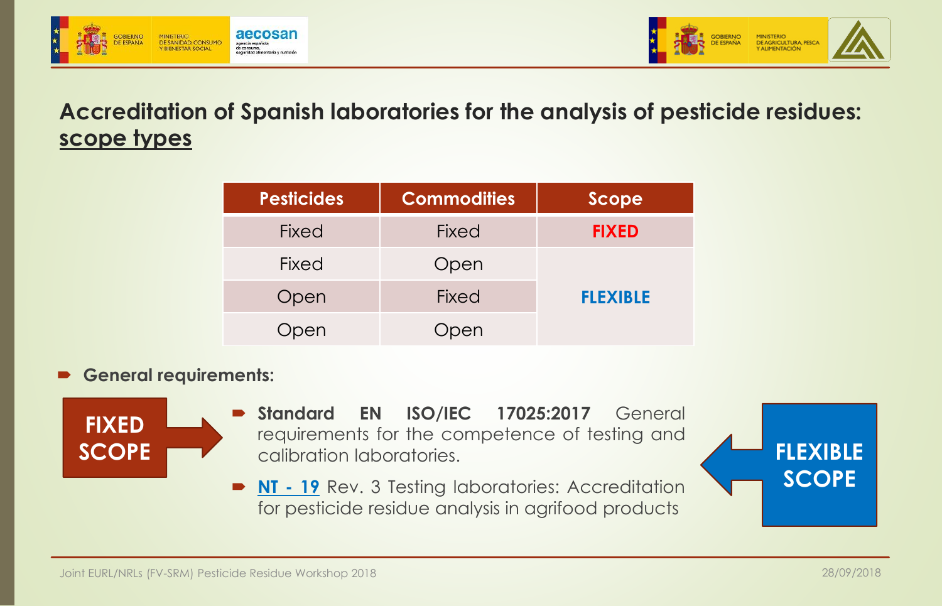



**Accreditation of Spanish laboratories for the analysis of pesticide residues: scope types**

| <b>Pesticides</b> | <b>Commodities</b> | Scope           |
|-------------------|--------------------|-----------------|
| <b>Fixed</b>      | <b>Fixed</b>       | <b>FIXED</b>    |
| <b>Fixed</b>      | Open               |                 |
| Open              | <b>Fixed</b>       | <b>FLEXIBLE</b> |
| <b>Open</b>       | Open               |                 |

#### **General requirements:**



- **Standard EN ISO/IEC 17025:2017** General requirements for the competence of testing and calibration laboratories. **SCOPE FLEXIBLE** 
	- **[NT](https://www.enac.es/documents/7020/eed330e7-bfef-47c0-b624-817c4589d1db) - 19** Rev. 3 Testing laboratories: Accreditation for pesticide residue analysis in agrifood products



**SCOPE**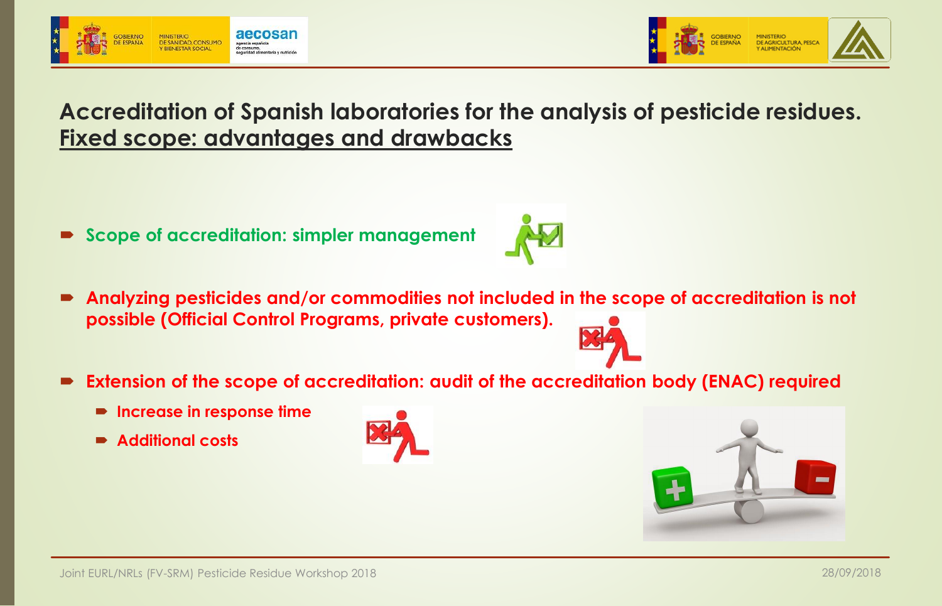

**DE AGRICULTURA, PESC** 

### **Accreditation of Spanish laboratories for the analysis of pesticide residues. Fixed scope: advantages and drawbacks**

- **Scope of accreditation: simpler management**
- **Analyzing pesticides and/or commodities not included in the scope of accreditation is not possible (Official Control Programs, private customers).**
- **Extension of the scope of accreditation: audit of the accreditation body (ENAC) required**
	- **Increase in response time**
	- **Additional costs**







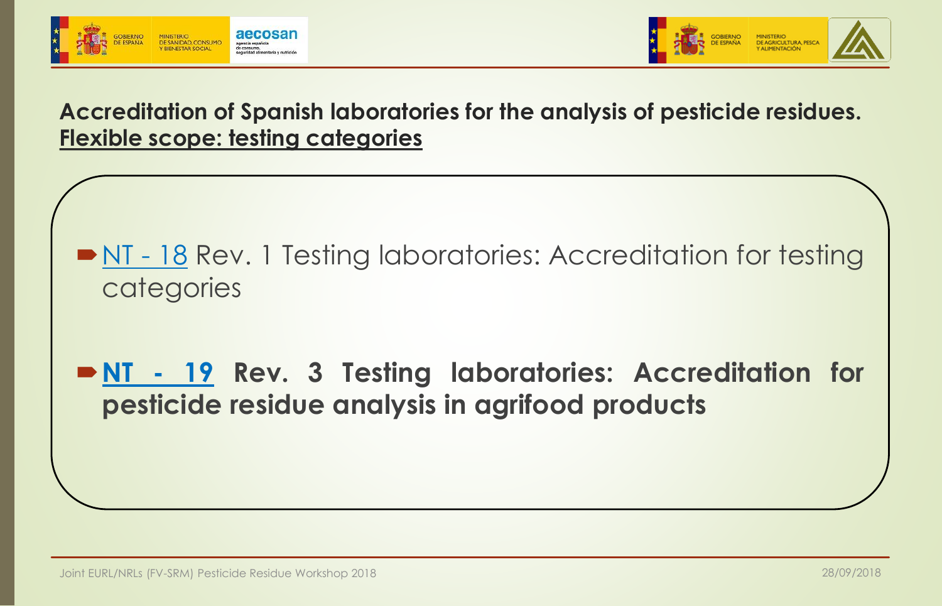



**Accreditation of Spanish laboratories for the analysis of pesticide residues. Flexible scope: testing categories**

- [NT](https://www.enac.es/documents/7020/9eb9c88c-df77-4f55-bfef-f1cc44161d46) 18 Rev. 1 Testing laboratories: Accreditation for testing categories
- **[NT](https://www.enac.es/documents/7020/eed330e7-bfef-47c0-b624-817c4589d1db) - 19 Rev. 3 Testing laboratories: Accreditation for pesticide residue analysis in agrifood products**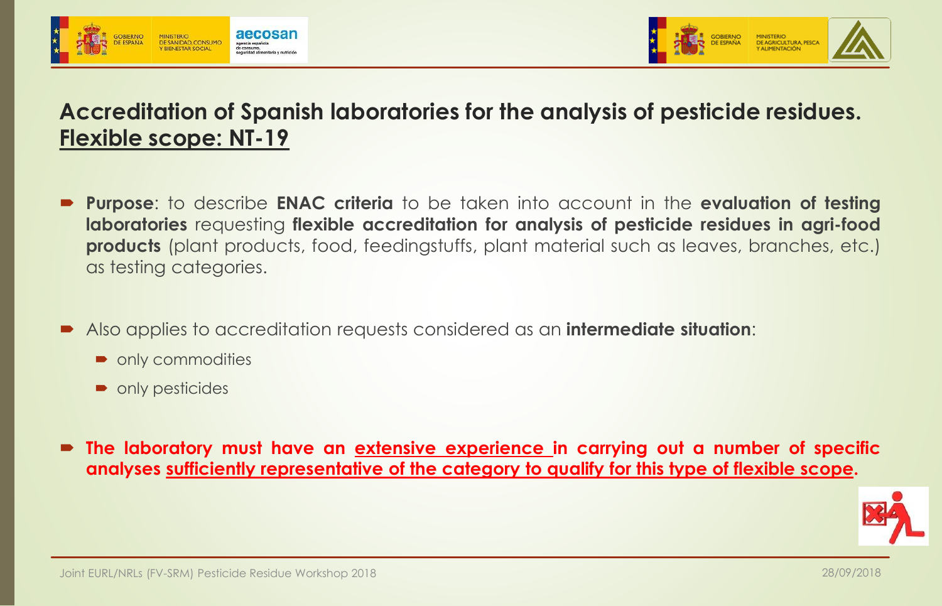



### **Accreditation of Spanish laboratories for the analysis of pesticide residues. Flexible scope: NT-19**

- **Purpose**: to describe **ENAC criteria** to be taken into account in the **evaluation of testing laboratories** requesting **flexible accreditation for analysis of pesticide residues in agri-food products** (plant products, food, feedingstuffs, plant material such as leaves, branches, etc.) as testing categories.
- Also applies to accreditation requests considered as an **intermediate situation**:
	- only commodities
	- only pesticides
- **The laboratory must have an extensive experience in carrying out a number of specific analyses sufficiently representative of the category to qualify for this type of flexible scope.**

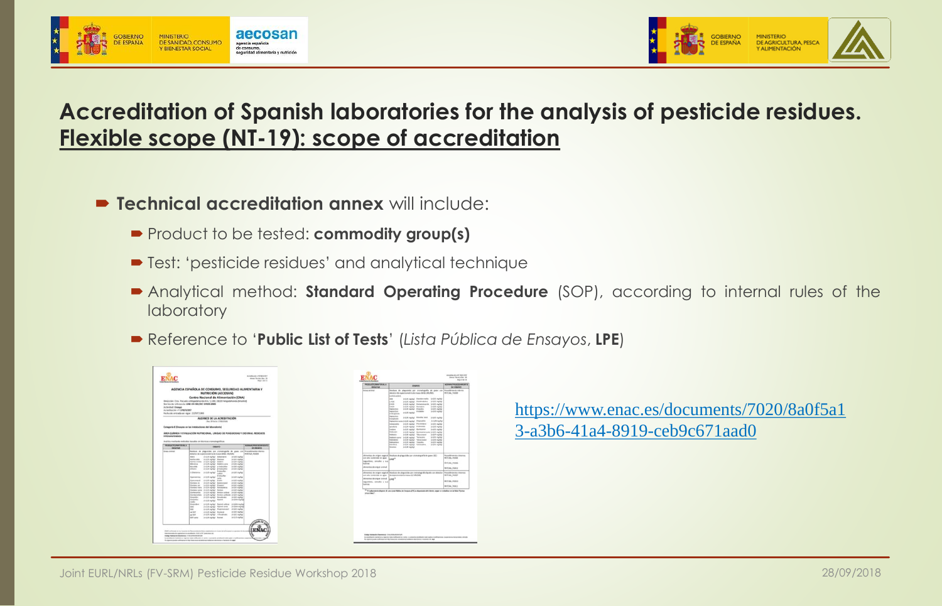



### **Accreditation of Spanish laboratories for the analysis of pesticide residues. Flexible scope (NT-19): scope of accreditation**

- **Technical accreditation annex** will include:
	- Product to be tested: **commodity group(s)**
	- **Test: 'pesticide residues' and analytical technique**
	- Analytical method: **Standard Operating Procedure** (SOP), according to internal rules of the **laboratory**
	- Reference to '**Public List of Tests**' (*Lista Pública de Ensayos*, **LPE**)



[https://www.enac.es/documents/7020/8a0f5a1](https://www.enac.es/documents/7020/8a0f5a13-a3b6-41a4-8919-ceb9c671aad0) 3-a3b6-41a4-8919-ceb9c671aad0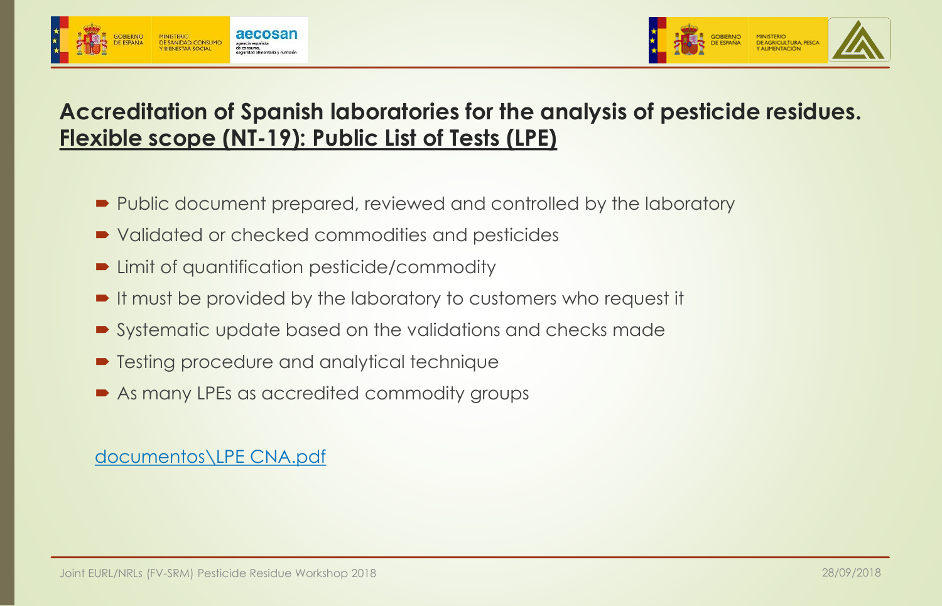



### **Accreditation of Spanish laboratories for the analysis of pesticide residues. Flexible scope (NT-19): Public List of Tests (LPE)**

- Public document prepared, reviewed and controlled by the laboratory
- Validated or checked commodities and pesticides
- Limit of quantification pesticide/commodity
- It must be provided by the laboratory to customers who request it
- Systematic update based on the validations and checks made
- Testing procedure and analytical technique
- As many LPEs as accredited commodity groups

#### [documentos\LPE](documentos/LPE CNA.pdf) CNA.pdf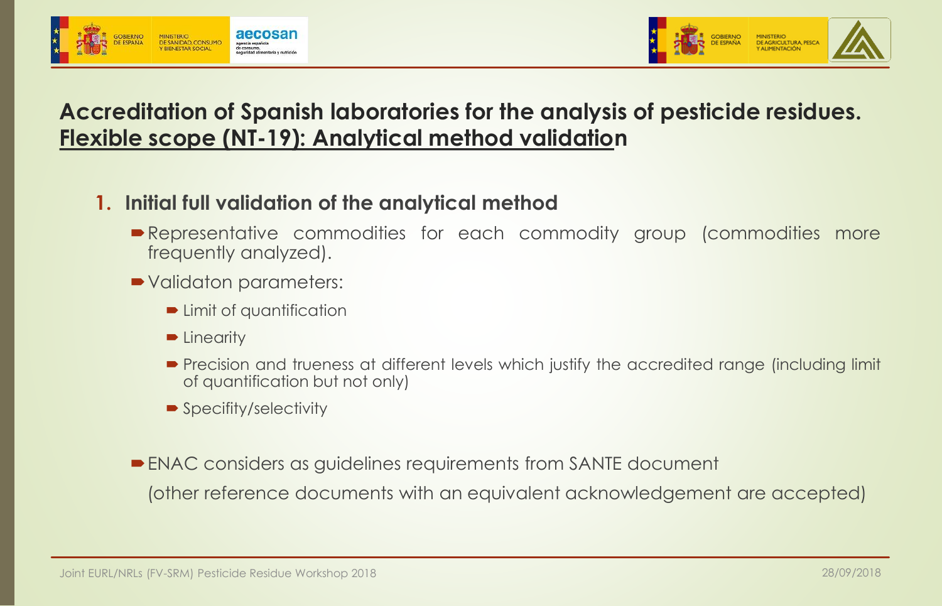



### **Accreditation of Spanish laboratories for the analysis of pesticide residues. Flexible scope (NT-19): Analytical method validation**

#### **1. Initial full validation of the analytical method**

- **Representative commodities for each commodity group (commodities more** frequently analyzed).
- Validaton parameters:
	- **D** Limit of quantification
	- **D** Linearity
	- **Precision and trueness at different levels which justify the accredited range (including limit** of quantification but not only)
	- Specifity/selectivity
- ENAC considers as guidelines requirements from SANTE document (other reference documents with an equivalent acknowledgement are accepted)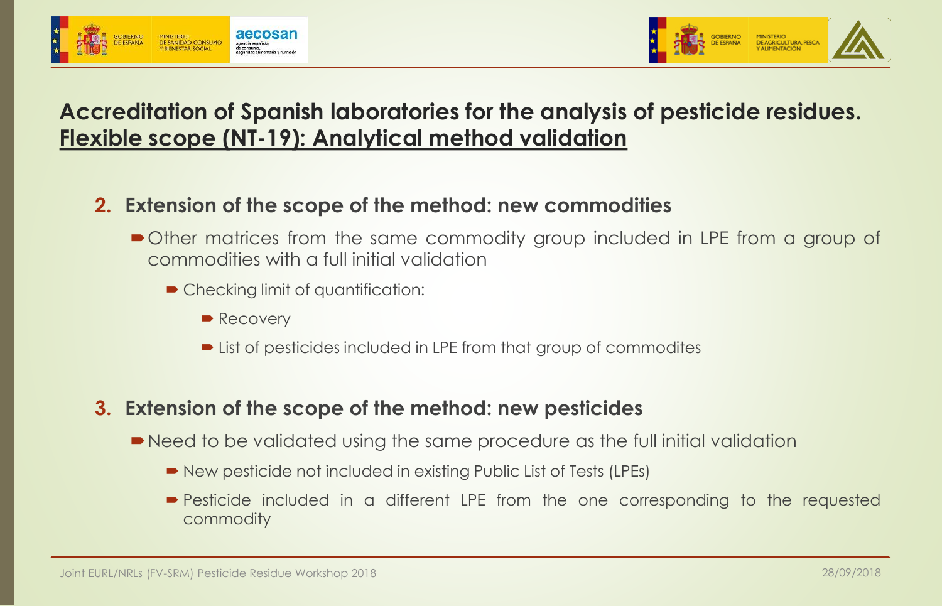

DE AGRICULTURA, PESC

### **Accreditation of Spanish laboratories for the analysis of pesticide residues. Flexible scope (NT-19): Analytical method validation**

#### **2. Extension of the scope of the method: new commodities**

- Other matrices from the same commodity group included in LPE from a group of commodities with a full initial validation
	- Checking limit of quantification:
		- Recovery
		- List of pesticides included in LPE from that group of commodites

#### **3. Extension of the scope of the method: new pesticides**

- Need to be validated using the same procedure as the full initial validation
	- New pesticide not included in existing Public List of Tests (LPEs)
	- **Pesticide included in a different LPE from the one corresponding to the requested** commodity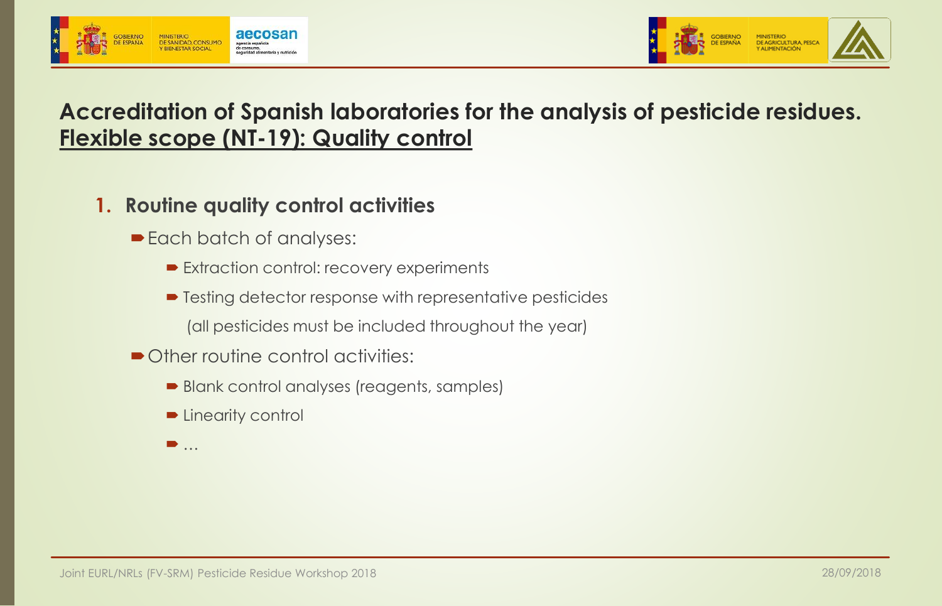



### **Accreditation of Spanish laboratories for the analysis of pesticide residues. Flexible scope (NT-19): Quality control**

- **1. Routine quality control activities**
	- Each batch of analyses:
		- Extraction control: recovery experiments
		- **Testing detector response with representative pesticides** 
			- (all pesticides must be included throughout the year)
	- Other routine control activities:
		- Blank control analyses (reagents, samples)
		- **Desimilier Linearity control**
		- $\blacksquare$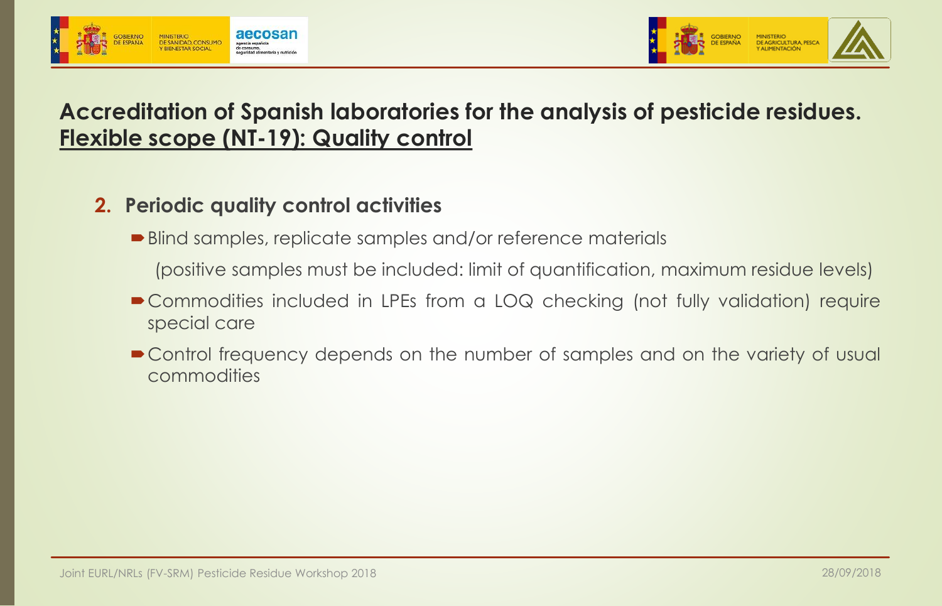



### **Accreditation of Spanish laboratories for the analysis of pesticide residues. Flexible scope (NT-19): Quality control**

#### **2. Periodic quality control activities**

■ Blind samples, replicate samples and/or reference materials

(positive samples must be included: limit of quantification, maximum residue levels)

- Commodities included in LPEs from a LOQ checking (not fully validation) require special care
- Control frequency depends on the number of samples and on the variety of usual commodities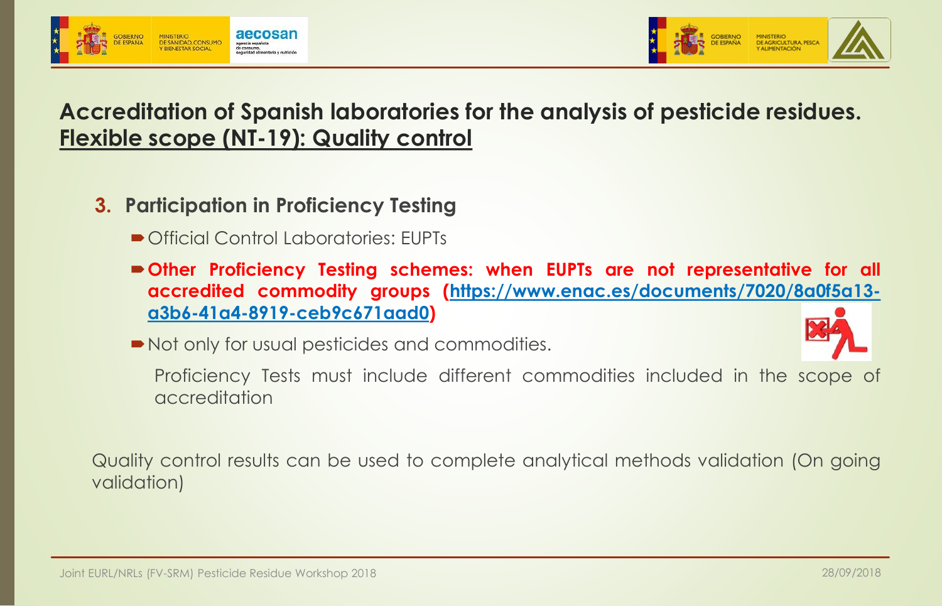



### **Accreditation of Spanish laboratories for the analysis of pesticide residues. Flexible scope (NT-19): Quality control**

- **3. Participation in Proficiency Testing**
	- Official Control Laboratories: EUPTs
	- **Other Proficiency Testing schemes: when EUPTs are not representative for all accredited commodity groups [\(https://www.enac.es/documents/7020/8a0f5a13](https://www.enac.es/documents/7020/8a0f5a13-a3b6-41a4-8919-ceb9c671aad0) a3b6-41a4-8919-ceb9c671aad0)**
	- $\blacksquare$  Not only for usual pesticides and commodities.



Proficiency Tests must include different commodities included in the scope of accreditation

Quality control results can be used to complete analytical methods validation (On going validation)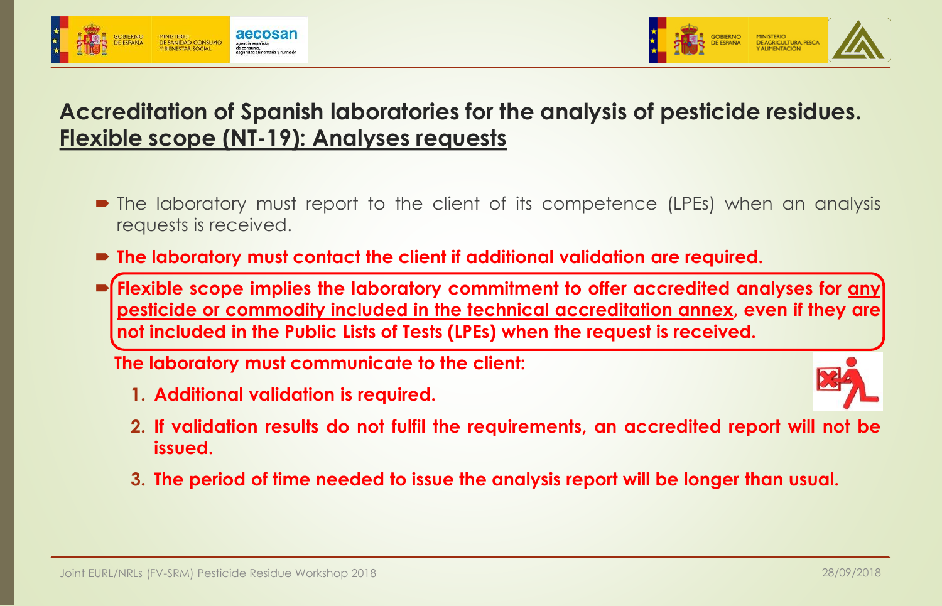



### **Accreditation of Spanish laboratories for the analysis of pesticide residues. Flexible scope (NT-19): Analyses requests**

- The laboratory must report to the client of its competence (LPEs) when an analysis requests is received.
- **The laboratory must contact the client if additional validation are required.**
- **Flexible scope implies the laboratory commitment to offer accredited analyses for any pesticide or commodity included in the technical accreditation annex, even if they are not included in the Public Lists of Tests (LPEs) when the request is received.**

**The laboratory must communicate to the client:**

**1. Additional validation is required.**



- **2. If validation results do not fulfil the requirements, an accredited report will not be issued.**
- **3. The period of time needed to issue the analysis report will be longer than usual.**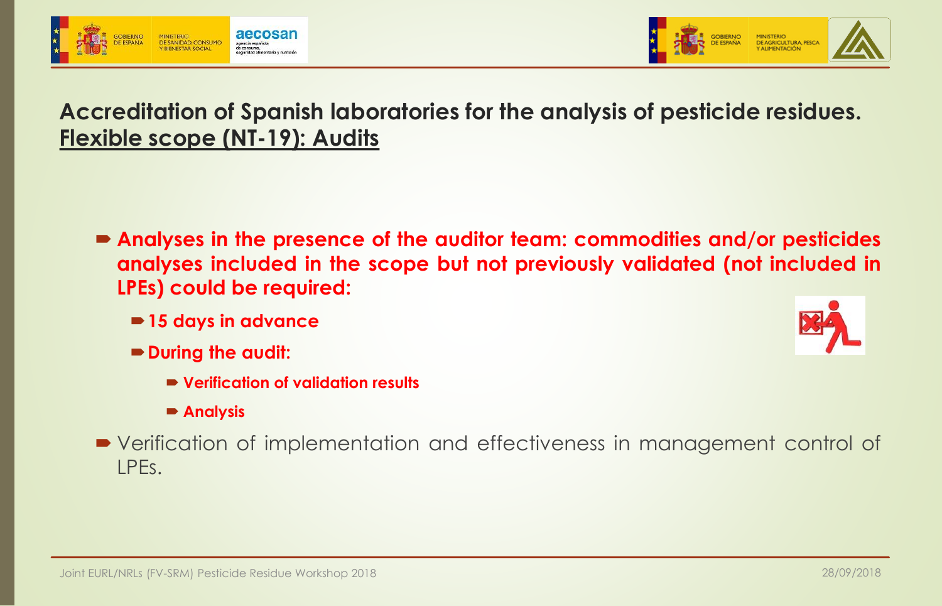



### **Accreditation of Spanish laboratories for the analysis of pesticide residues. Flexible scope (NT-19): Audits**

- **Analyses in the presence of the auditor team: commodities and/or pesticides analyses included in the scope but not previously validated (not included in LPEs) could be required:**
	- **15 days in advance**
	- **During the audit:**
		- **Verification of validation results**
		- **Analysis**
- Verification of implementation and effectiveness in management control of LPEs.

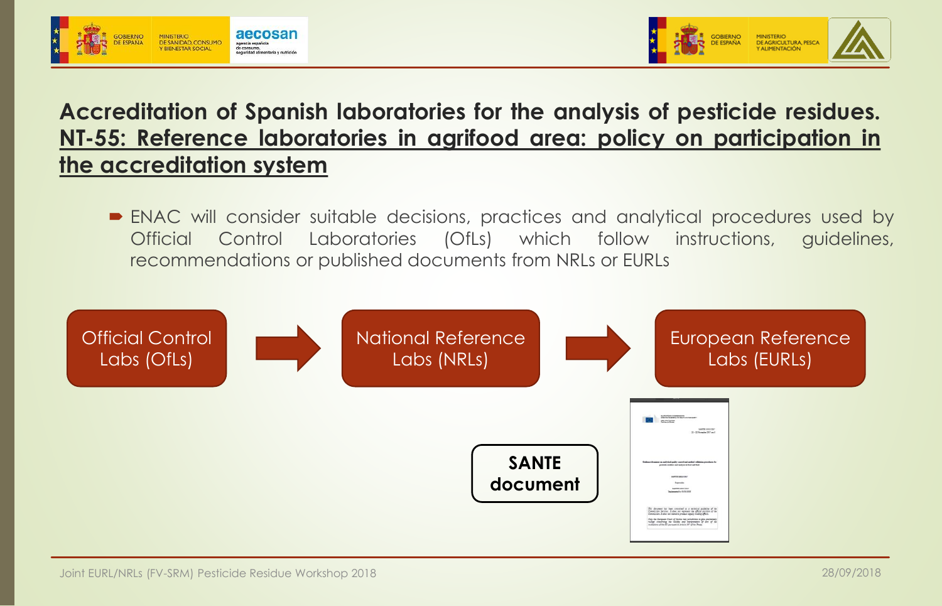



### **Accreditation of Spanish laboratories for the analysis of pesticide residues. NT-55: Reference laboratories in agrifood area: policy on participation in the accreditation system**

 ENAC will consider suitable decisions, practices and analytical procedures used by Official Control Laboratories (OfLs) which follow instructions, guidelines, recommendations or published documents from NRLs or EURLs

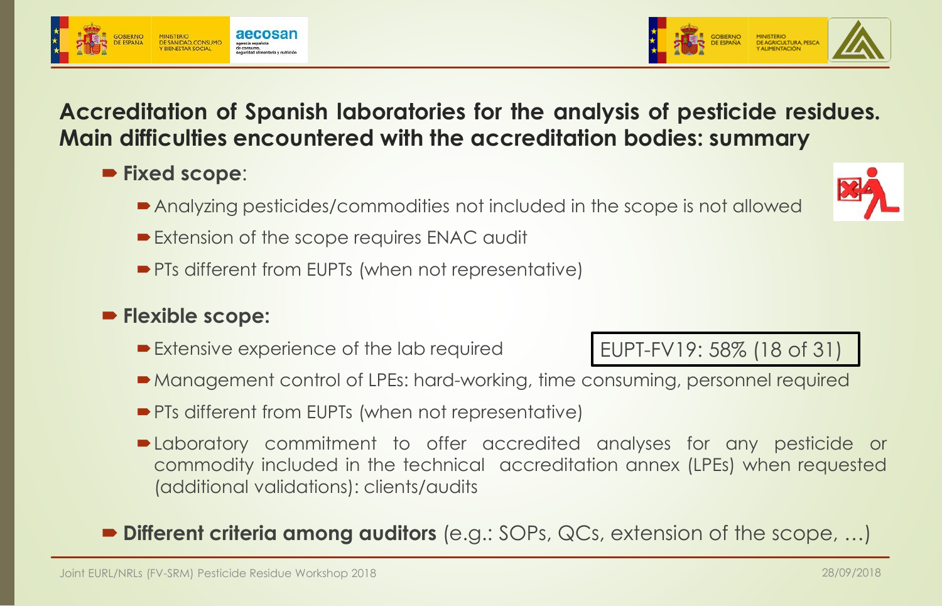### **Accreditation of Spanish laboratories for the analysis of pesticide residues. Main difficulties encountered with the accreditation bodies: summary**

- **Fixed scope**:
	- Analyzing pesticides/commodities not included in the scope is not allowed
	- Extension of the scope requires ENAC audit
	- **PTs different from EUPTs (when not representative)**

#### **Flexible scope:**

- Extensive experience of the lab required
- Management control of LPEs: hard-working, time consuming, personnel required
- **PTs different from EUPTs (when not representative)**
- Laboratory commitment to offer accredited analyses for any pesticide or commodity included in the technical accreditation annex (LPEs) when requested (additional validations): clients/audits

#### **Different criteria among auditors** (e.g.: SOPs, QCs, extension of the scope, …)





EUPT-FV19: 58% (18 of 31)